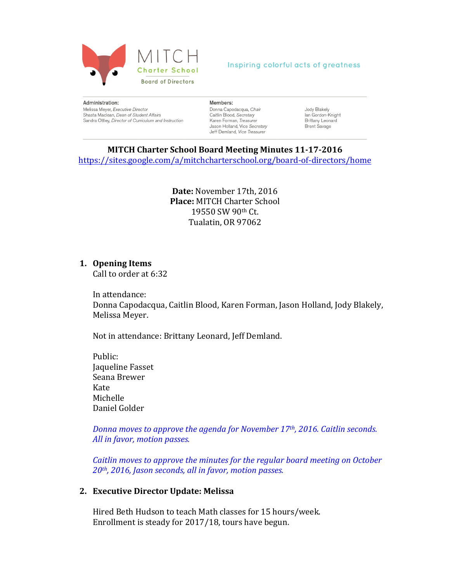

#### Administration: Melissa Mever, Executive Director Shasta Maclean, Dean of Student Affairs Sandra Ottley, Director of Curriculum and Instruction

#### Members:

- Donna Capodacqua, Chair Caitlin Blood, Secretary Karen Forman, Treasurer Jason Holland, Vice Secretary Jeff Demland, Vice Treasurer
- Jody Blakely lan Gordon-Knight Brittany Leonard Brent Savage

## **MITCH Charter School Board Meeting Minutes 11-17-2016**

https://sites.google.com/a/mitchcharterschool.org/board-of-directors/home

Date: November 17th, 2016 **Place: MITCH Charter School** 19550 SW 90th Ct. Tualatin, OR 97062

## **1. Opening Items**

Call to order at 6:32

In attendance: Donna Capodacqua, Caitlin Blood, Karen Forman, Jason Holland, Jody Blakely, Melissa Meyer. 

Not in attendance: Brittany Leonard, Jeff Demland.

Public: **Jaqueline Fasset** Seana Brewer Kate Michelle Daniel Golder

*Donna moves to approve the agenda for November 17th, 2016. Caitlin seconds.* All in favor, motion passes.

*Caitlin moves to approve the minutes for the regular board meeting on October* 20<sup>th</sup>, 2016, Jason seconds, all in favor, motion passes.

## **2. Executive Director Update: Melissa**

Hired Beth Hudson to teach Math classes for 15 hours/week. Enrollment is steady for 2017/18, tours have begun.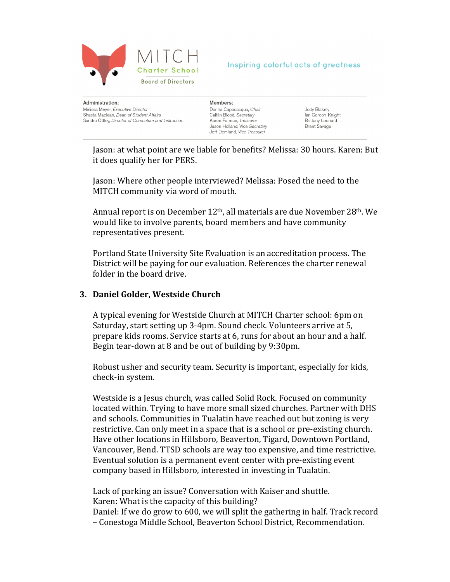

Administration: Melissa Mever, Executive Director Shasta Maclean, Dean of Student Affairs Sandra Ottley, Director of Curriculum and Instruction Members: Donna Capodacqua, Chair Caitlin Blood, Secretary Karen Forman, Treasurer Jason Holland, Vice Secretary Jeff Demland, Vice Treasurer

Jody Blakely lan Gordon-Knight Brittany Leonard Brent Savage

Jason: at what point are we liable for benefits? Melissa: 30 hours. Karen: But it does qualify her for PERS.

Jason: Where other people interviewed? Melissa: Posed the need to the MITCH community via word of mouth.

Annual report is on December  $12<sup>th</sup>$ , all materials are due November  $28<sup>th</sup>$ . We would like to involve parents, board members and have community representatives present.

Portland State University Site Evaluation is an accreditation process. The District will be paying for our evaluation. References the charter renewal folder in the board drive.

## **3. Daniel Golder, Westside Church**

A typical evening for Westside Church at MITCH Charter school: 6pm on Saturday, start setting up 3-4pm. Sound check. Volunteers arrive at 5, prepare kids rooms. Service starts at 6, runs for about an hour and a half. Begin tear-down at 8 and be out of building by 9:30pm.

Robust usher and security team. Security is important, especially for kids, check-in system.

Westside is a Jesus church, was called Solid Rock. Focused on community located within. Trying to have more small sized churches. Partner with DHS and schools. Communities in Tualatin have reached out but zoning is very restrictive. Can only meet in a space that is a school or pre-existing church. Have other locations in Hillsboro, Beaverton, Tigard, Downtown Portland, Vancouver, Bend. TTSD schools are way too expensive, and time restrictive. Eventual solution is a permanent event center with pre-existing event company based in Hillsboro, interested in investing in Tualatin.

Lack of parking an issue? Conversation with Kaiser and shuttle. Karen: What is the capacity of this building?

Daniel: If we do grow to 600, we will split the gathering in half. Track record – Conestoga Middle School, Beaverton School District, Recommendation.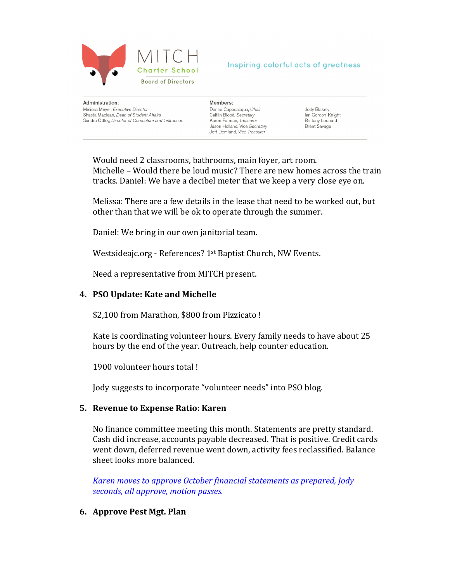

Administration: Melissa Mever, Executive Director Shasta Maclean, Dean of Student Affairs Sandra Ottley, Director of Curriculum and Instruction

#### Members:

Donna Capodacqua, Chair Caitlin Blood, Secretary Karen Forman, Treasurer Jason Holland, Vice Secretary Jeff Demland, Vice Treasurer

Jody Blakely lan Gordon-Knight Brittany Leonard Brent Savage

Would need 2 classrooms, bathrooms, main foyer, art room. Michelle – Would there be loud music? There are new homes across the train tracks. Daniel: We have a decibel meter that we keep a very close eye on.

Melissa: There are a few details in the lease that need to be worked out, but other than that we will be ok to operate through the summer.

Daniel: We bring in our own janitorial team.

Westsideajc.org - References? 1<sup>st</sup> Baptist Church, NW Events.

Need a representative from MITCH present.

# **4. PSO Update: Kate and Michelle**

\$2,100 from Marathon, \$800 from Pizzicato!

Kate is coordinating volunteer hours. Every family needs to have about 25 hours by the end of the year. Outreach, help counter education.

1900 volunteer hours total!

Jody suggests to incorporate "volunteer needs" into PSO blog.

# **5.** Revenue to Expense Ratio: Karen

No finance committee meeting this month. Statements are pretty standard. Cash did increase, accounts payable decreased. That is positive. Credit cards went down, deferred revenue went down, activity fees reclassified. Balance sheet looks more balanced.

*Karen moves to approve October financial statements as prepared, Jody* seconds, all approve, motion passes.

# **6. Approve Pest Mgt. Plan**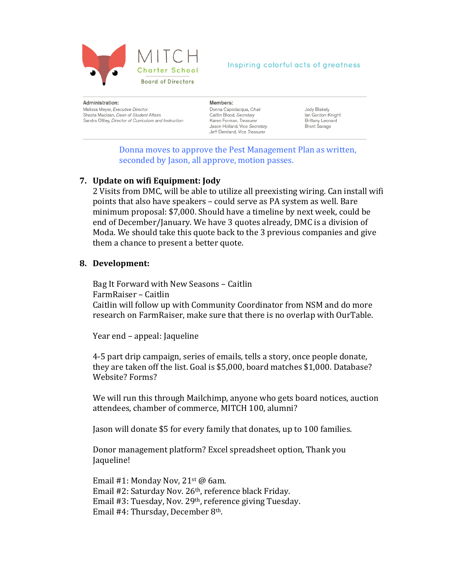

#### Administration: Melissa Mever, Executive Director Shasta Maclean, Dean of Student Affairs Sandra Ottley, Director of Curriculum and Instruction

#### Members:

Donna Capodacqua, Chair Caitlin Blood, Secretary Karen Forman, Treasurer Jason Holland, Vice Secretary Jeff Demland, Vice Treasurer

Jody Blakely lan Gordon-Knight Brittany Leonard Brent Savage

Donna moves to approve the Pest Management Plan as written, seconded by Jason, all approve, motion passes.

# **7. Update on wifi Equipment: Jody**

2 Visits from DMC, will be able to utilize all preexisting wiring. Can install wifi points that also have speakers – could serve as PA system as well. Bare minimum proposal: \$7,000. Should have a timeline by next week, could be end of December/January. We have 3 quotes already, DMC is a division of Moda. We should take this quote back to the 3 previous companies and give them a chance to present a better quote.

## 8. Development:

Bag It Forward with New Seasons - Caitlin FarmRaiser - Caitlin Caitlin will follow up with Community Coordinator from NSM and do more research on FarmRaiser, make sure that there is no overlap with OurTable.

Year end – appeal: Jaqueline

4-5 part drip campaign, series of emails, tells a story, once people donate, they are taken off the list. Goal is \$5,000, board matches \$1,000. Database? Website? Forms?

We will run this through Mailchimp, anyone who gets board notices, auction attendees, chamber of commerce, MITCH 100, alumni?

Jason will donate \$5 for every family that donates, up to 100 families.

Donor management platform? Excel spreadsheet option, Thank you Jaqueline! 

Email #1: Monday Nov,  $21<sup>st</sup>$  @ 6am. Email  $#2$ : Saturday Nov.  $26<sup>th</sup>$ , reference black Friday. Email #3: Tuesday, Nov. 29<sup>th</sup>, reference giving Tuesday. Email  $#4$ : Thursday, December  $8<sup>th</sup>$ .